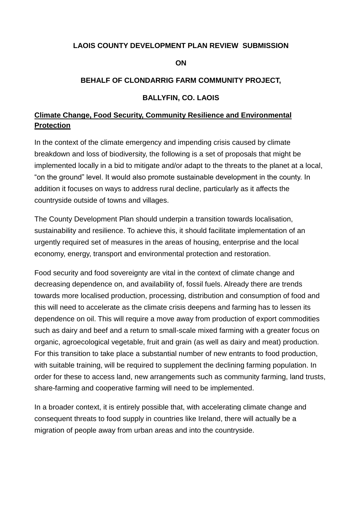#### **LAOIS COUNTY DEVELOPMENT PLAN REVIEW SUBMISSION**

#### **ON**

#### **BEHALF OF CLONDARRIG FARM COMMUNITY PROJECT,**

#### **BALLYFIN, CO. LAOIS**

# **Climate Change, Food Security, Community Resilience and Environmental Protection**

In the context of the climate emergency and impending crisis caused by climate breakdown and loss of biodiversity, the following is a set of proposals that might be implemented locally in a bid to mitigate and/or adapt to the threats to the planet at a local, "on the ground" level. It would also promote sustainable development in the county. In addition it focuses on ways to address rural decline, particularly as it affects the countryside outside of towns and villages.

The County Development Plan should underpin a transition towards localisation, sustainability and resilience. To achieve this, it should facilitate implementation of an urgently required set of measures in the areas of housing, enterprise and the local economy, energy, transport and environmental protection and restoration.

Food security and food sovereignty are vital in the context of climate change and decreasing dependence on, and availability of, fossil fuels. Already there are trends towards more localised production, processing, distribution and consumption of food and this will need to accelerate as the climate crisis deepens and farming has to lessen its dependence on oil. This will require a move away from production of export commodities such as dairy and beef and a return to small-scale mixed farming with a greater focus on organic, agroecological vegetable, fruit and grain (as well as dairy and meat) production. For this transition to take place a substantial number of new entrants to food production, with suitable training, will be required to supplement the declining farming population. In order for these to access land, new arrangements such as community farming, land trusts, share-farming and cooperative farming will need to be implemented.

In a broader context, it is entirely possible that, with accelerating climate change and consequent threats to food supply in countries like Ireland, there will actually be a migration of people away from urban areas and into the countryside.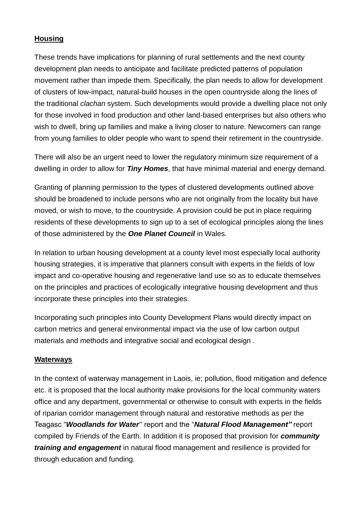### **Housing**

These trends have implications for planning of rural settlements and the next county development plan needs to anticipate and facilitate predicted patterns of population movement rather than impede them. Specifically, the plan needs to allow for development of clusters of low-impact, natural-build houses in the open countryside along the lines of the traditional *clachan* system. Such developments would provide a dwelling place not only for those involved in food production and other land-based enterprises but also others who wish to dwell, bring up families and make a living closer to nature. Newcomers can range from young families to older people who want to spend their retirement in the countryside.

There will also be an urgent need to lower the regulatory minimum size requirement of a dwelling in order to allow for *Tiny Homes*, that have minimal material and energy demand.

Granting of planning permission to the types of clustered developments outlined above should be broadened to include persons who are not originally from the locality but have moved, or wish to move, to the countryside. A provision could be put in place requiring residents of these developments to sign up to a set of ecological principles along the lines of those administered by the *One Planet Council* in Wales[.](http://www.oneplanetcouncil.org.uk/)

In relation to urban housing development at a county level most especially local authority housing strategies, it is imperative that planners consult with experts in the fields of low impact and co-operative housing and regenerative land use so as to educate themselves on the principles and practices of ecologically integrative housing development and thus incorporate these principles into their strategies.

Incorporating such principles into County Development Plans would directly impact on carbon metrics and general environmental impact via the use of low carbon output materials and methods and integrative social and ecological design .

### **Waterways**

In the context of waterway management in Laois, ie; pollution, flood mitigation and defence etc. it is proposed that the local authority make provisions for the local community waters office and any department, governmental or otherwise to consult with experts in the fields of riparian corridor management through natural and restorative methods as per the Teagasc "*Woodlands for Water*" report and the "*Natural Flood Management"* report compiled by Friends of the Earth. In addition it is proposed that provision for *community training and engagement* in natural flood management and resilience is provided for through education and funding.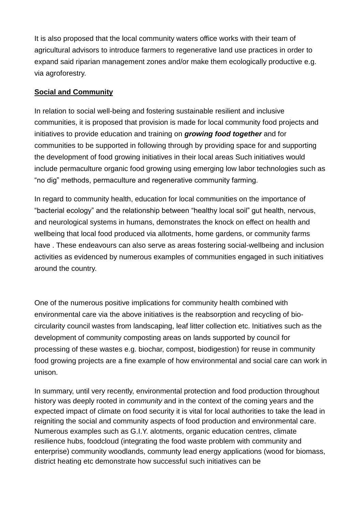It is also proposed that the local community waters office works with their team of agricultural advisors to introduce farmers to regenerative land use practices in order to expand said riparian management zones and/or make them ecologically productive e.g. via agroforestry.

# **Social and Community**

In relation to social well-being and fostering sustainable resilient and inclusive communities, it is proposed that provision is made for local community food projects and initiatives to provide education and training on *growing food together* and for communities to be supported in following through by providing space for and supporting the development of food growing initiatives in their local areas Such initiatives would include permaculture organic food growing using emerging low labor technologies such as "no dig" methods, permaculture and regenerative community farming.

In regard to community health, education for local communities on the importance of "bacterial ecology" and the relationship between "healthy local soil" gut health, nervous, and neurological systems in humans, demonstrates the knock on effect on health and wellbeing that local food produced via allotments, home gardens, or community farms have . These endeavours can also serve as areas fostering social-wellbeing and inclusion activities as evidenced by numerous examples of communities engaged in such initiatives around the country.

One of the numerous positive implications for community health combined with environmental care via the above initiatives is the reabsorption and recycling of biocircularity council wastes from landscaping, leaf litter collection etc. Initiatives such as the development of community composting areas on lands supported by council for processing of these wastes e.g. biochar, compost, biodigestion) for reuse in community food growing projects are a fine example of how environmental and social care can work in unison.

In summary, until very recently, environmental protection and food production throughout history was deeply rooted in *community* and in the context of the coming years and the expected impact of climate on food security it is vital for local authorities to take the lead in reigniting the social and community aspects of food production and environmental care. Numerous examples such as G.I.Y. alotments, organic education centres, climate resilience hubs, foodcloud (integrating the food waste problem with community and enterprise) community woodlands, communty lead energy applications (wood for biomass, district heating etc demonstrate how successful such initiatives can be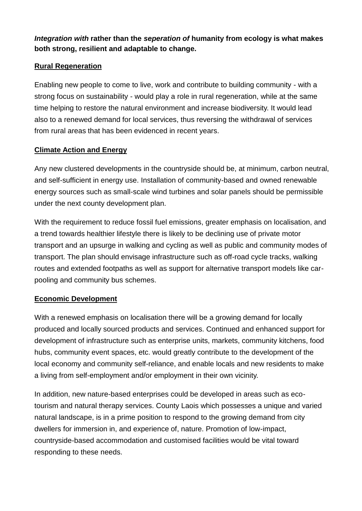*Integration with* **rather than the** *seperation of* **humanity from ecology is what makes both strong, resilient and adaptable to change.**

## **Rural Regeneration**

Enabling new people to come to live, work and contribute to building community - with a strong focus on sustainability - would play a role in rural regeneration, while at the same time helping to restore the natural environment and increase biodiversity. It would lead also to a renewed demand for local services, thus reversing the withdrawal of services from rural areas that has been evidenced in recent years.

### **Climate Action and Energy**

Any new clustered developments in the countryside should be, at minimum, carbon neutral, and self-sufficient in energy use. Installation of community-based and owned renewable energy sources such as small-scale wind turbines and solar panels should be permissible under the next county development plan.

With the requirement to reduce fossil fuel emissions, greater emphasis on localisation, and a trend towards healthier lifestyle there is likely to be declining use of private motor transport and an upsurge in walking and cycling as well as public and community modes of transport. The plan should envisage infrastructure such as off-road cycle tracks, walking routes and extended footpaths as well as support for alternative transport models like carpooling and community bus schemes.

### **Economic Development**

With a renewed emphasis on localisation there will be a growing demand for locally produced and locally sourced products and services. Continued and enhanced support for development of infrastructure such as enterprise units, markets, community kitchens, food hubs, community event spaces, etc. would greatly contribute to the development of the local economy and community self-reliance, and enable locals and new residents to make a living from self-employment and/or employment in their own vicinity.

In addition, new nature-based enterprises could be developed in areas such as ecotourism and natural therapy services. County Laois which possesses a unique and varied natural landscape, is in a prime position to respond to the growing demand from city dwellers for immersion in, and experience of, nature. Promotion of low-impact, countryside-based accommodation and customised facilities would be vital toward responding to these needs.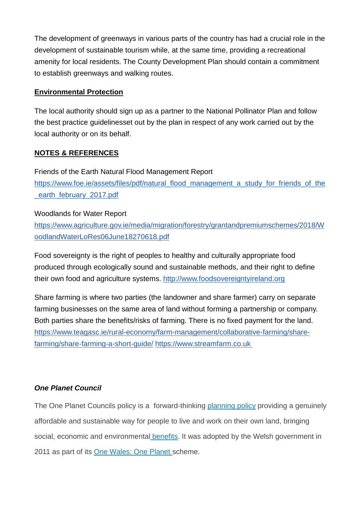The development of greenways in various parts of the country has had a crucial role in the development of sustainable tourism while, at the same time, providing a recreational amenity for local residents. The County Development Plan should contain a commitment to establish greenways and walking routes.

## **Environmental Protection**

The local authority should sign up as a partner to the National Pollinator Plan and follow the best practice guidelinesset out by the plan in respect of any work carried out by the local authority or on its behalf.

# **NOTES & REFERENCES**

Friends of the Earth Natural Flood Management Repor[t](https://www.foe.ie/assets/files/pdf/natural_flood_management_a_study_for_friends_of_the_earth_february_2017.pdf) [https://www.foe.ie/assets/files/pdf/natural\\_flood\\_management\\_a\\_study\\_for\\_friends\\_of\\_the](https://www.foe.ie/assets/files/pdf/natural_flood_management_a_study_for_friends_of_the_earth_february_2017.pdf) earth\_february\_2017.pdf

### Woodlands for Water Repor[t](https://www.agriculture.gov.ie/media/migration/forestry/grantandpremiumschemes/2018/WoodlandWaterLoRes06June18270618.pdf)

[https://www.agriculture.gov.ie/media/migration/forestry/grantandpremiumschemes/2018/W](https://www.agriculture.gov.ie/media/migration/forestry/grantandpremiumschemes/2018/WoodlandWaterLoRes06June18270618.pdf) oodlandWaterLoRes06June18270618.pdf

Food sovereignty is the right of peoples to healthy and culturally appropriate food produced through ecologically sound and sustainable methods, and their right to define their own food and agriculture systems. [http://www.foodsovereigntyireland.org](http://www.foodsovereigntyireland.org/)

Share farming is where two parties (the landowner and share farmer) carry on separate farming businesses on the same area of land without forming a partnership or company. Both parties share the benefits/risks of farming. There is no fixed payment for the land[.](https://www.teagasc.ie/rural-economy/farm-management/collaborative-farming/share-farming/share-farming-a-short-guide/) [https://www.teagasc.ie/rural-economy/farm-management/collaborative-farming/share](https://www.teagasc.ie/rural-economy/farm-management/collaborative-farming/share-farming/share-farming-a-short-guide/)farming/share-farming-a-short-guide[/](https://www.streamfarm.co.uk/) [https://www.streamfarm.co.uk](https://www.streamfarm.co.uk/)

### *One Planet Council*

The One Planet Councils policy is a forward-thinking [planning policy](http://www.oneplanetcouncil.org.uk/wp-content/uploads/2014/02/One-Planet-Development-TAN6.pdf) providing a genuinely affordable and sustainable way for people to live and work on their own land, bringing social, economic and environmental [benefits.](http://www.oneplanetcouncil.org.uk/10goodreasons/) It was adopted by the Welsh government in 2011 as part of its [One Wales: One Planet s](http://wales.gov.uk/docs/desh/publications/090521susdev1wales1planeten.pdf)cheme.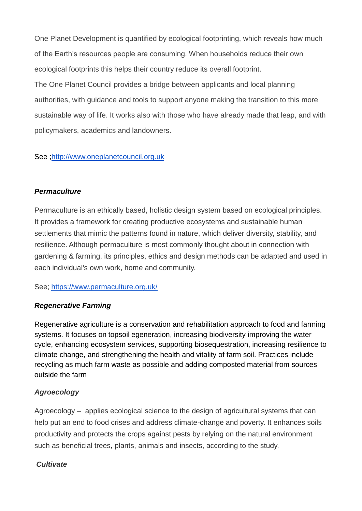One Planet Development is quantified by ecological footprinting, which reveals how much of the Earth's resources people are consuming. When households reduce their own ecological footprints this helps their country reduce its overall footprint.

The One Planet Council provides a bridge between applicants and local planning authorities, with guidance and tools to support anyone making the transition to this more sustainable way of life. It works also with those who have already made that leap, and with policymakers, academics and landowners.

### See [;http://www.oneplanetcouncil.org.uk](http://www.oneplanetcouncil.org.uk/)

## *Permaculture*

Permaculture is an ethically based, holistic design system based on ecological principles. It provides a framework for creating productive ecosystems and sustainable human settlements that mimic the patterns found in nature, which deliver diversity, stability, and resilience. Although permaculture is most commonly thought about in connection with gardening & farming, its principles, ethics and design methods can be adapted and used in each individual's own work, home and community.

### See; <https://www.permaculture.org.uk/>

# *Regenerative Farming*

Regenerative agriculture is a conservation and rehabilitation approach to food and farming systems. It focuses on [topsoil](https://en.wikipedia.org/wiki/Topsoil) egeneration, increasing biodiversity improving the water cycle, enhancing ecosystem services, supporting biosequestration, increasing resilience to climate change, and strengthening the health and vitality of farm soil. Practices include recycling as much farm waste as possible and adding composted material from sources outside the farm

# *Agroecology*

Agroecology – applies ecological science to the design of agricultural systems that can help put an end to food crises and address climate-change and poverty. It enhances soils productivity and protects the crops against pests by relying on the natural environment such as beneficial trees, plants, animals and insects, according to the study.

# *Cultivate*